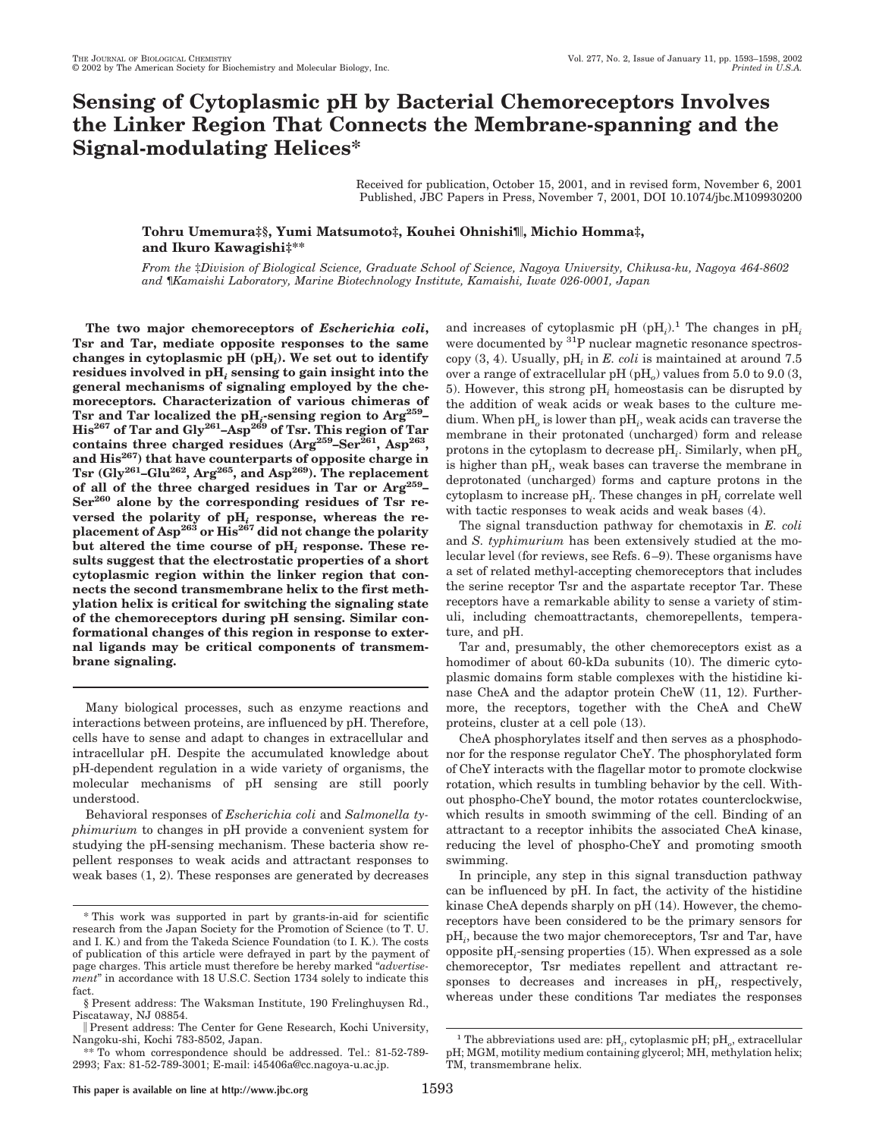# **Sensing of Cytoplasmic pH by Bacterial Chemoreceptors Involves the Linker Region That Connects the Membrane-spanning and the Signal-modulating Helices\***

Received for publication, October 15, 2001, and in revised form, November 6, 2001 Published, JBC Papers in Press, November 7, 2001, DOI 10.1074/jbc.M109930200

# **Tohru Umemura‡§, Yumi Matsumoto‡, Kouhei Ohnishi¶, Michio Homma‡, and Ikuro Kawagishi‡\*\***

*From the* ‡*Division of Biological Science, Graduate School of Science, Nagoya University, Chikusa-ku, Nagoya 464-8602 and* ¶*Kamaishi Laboratory, Marine Biotechnology Institute, Kamaishi, Iwate 026-0001, Japan*

**The two major chemoreceptors of** *Escherichia coli***, Tsr and Tar, mediate opposite responses to the same changes in cytoplasmic pH (pH***i***). We set out to identify residues involved in pH***<sup>i</sup>* **sensing to gain insight into the general mechanisms of signaling employed by the chemoreceptors. Characterization of various chimeras of Tsr and Tar localized the pH***i***-sensing region to Arg259– His<sup>267</sup> of Tar and Gly261–Asp269 of Tsr. This region of Tar** contains three charged residues (Arg<sup>259</sup>–Ser<sup>261</sup>, Asp<sup>263</sup>, **and His267) that have counterparts of opposite charge in Tsr (Gly261–Glu262, Arg265, and Asp269). The replacement of all of the three charged residues in Tar or Arg259– Ser260 alone by the corresponding residues of Tsr re**versed the polarity of  $pH_i$  response, whereas the re**placement of Asp263 or His267 did not change the polarity but altered the time course of pH***<sup>i</sup>* **response. These results suggest that the electrostatic properties of a short cytoplasmic region within the linker region that connects the second transmembrane helix to the first methylation helix is critical for switching the signaling state of the chemoreceptors during pH sensing. Similar conformational changes of this region in response to external ligands may be critical components of transmembrane signaling.**

Many biological processes, such as enzyme reactions and interactions between proteins, are influenced by pH. Therefore, cells have to sense and adapt to changes in extracellular and intracellular pH. Despite the accumulated knowledge about pH-dependent regulation in a wide variety of organisms, the molecular mechanisms of pH sensing are still poorly understood.

Behavioral responses of *Escherichia coli* and *Salmonella typhimurium* to changes in pH provide a convenient system for studying the pH-sensing mechanism. These bacteria show repellent responses to weak acids and attractant responses to weak bases (1, 2). These responses are generated by decreases

and increases of cytoplasmic pH  $(pH_i)$ .<sup>1</sup> The changes in  $pH_i$ were documented by <sup>31</sup>P nuclear magnetic resonance spectroscopy (3, 4). Usually, pH*<sup>i</sup>* in *E. coli* is maintained at around 7.5 over a range of extracellular pH (pH<sub>o</sub>) values from 5.0 to 9.0 (3, 5). However, this strong pH*<sup>i</sup>* homeostasis can be disrupted by the addition of weak acids or weak bases to the culture medium. When pH*<sup>o</sup>* is lower than pH*<sup>i</sup>* , weak acids can traverse the membrane in their protonated (uncharged) form and release protons in the cytoplasm to decrease pH*<sup>i</sup>* . Similarly, when pH*<sup>o</sup>* is higher than pH*<sup>i</sup>* , weak bases can traverse the membrane in deprotonated (uncharged) forms and capture protons in the cytoplasm to increase pH*<sup>i</sup>* . These changes in pH*<sup>i</sup>* correlate well with tactic responses to weak acids and weak bases (4).

The signal transduction pathway for chemotaxis in *E. coli* and *S. typhimurium* has been extensively studied at the molecular level (for reviews, see Refs. 6–9). These organisms have a set of related methyl-accepting chemoreceptors that includes the serine receptor Tsr and the aspartate receptor Tar. These receptors have a remarkable ability to sense a variety of stimuli, including chemoattractants, chemorepellents, temperature, and pH.

Tar and, presumably, the other chemoreceptors exist as a homodimer of about 60-kDa subunits (10). The dimeric cytoplasmic domains form stable complexes with the histidine kinase CheA and the adaptor protein CheW (11, 12). Furthermore, the receptors, together with the CheA and CheW proteins, cluster at a cell pole (13).

CheA phosphorylates itself and then serves as a phosphodonor for the response regulator CheY. The phosphorylated form of CheY interacts with the flagellar motor to promote clockwise rotation, which results in tumbling behavior by the cell. Without phospho-CheY bound, the motor rotates counterclockwise, which results in smooth swimming of the cell. Binding of an attractant to a receptor inhibits the associated CheA kinase, reducing the level of phospho-CheY and promoting smooth swimming.

In principle, any step in this signal transduction pathway can be influenced by pH. In fact, the activity of the histidine kinase CheA depends sharply on pH (14). However, the chemoreceptors have been considered to be the primary sensors for pH*<sup>i</sup>* , because the two major chemoreceptors, Tsr and Tar, have opposite pH*<sup>i</sup>* -sensing properties (15). When expressed as a sole chemoreceptor, Tsr mediates repellent and attractant responses to decreases and increases in pH*<sup>i</sup>* , respectively, whereas under these conditions Tar mediates the responses

<sup>\*</sup> This work was supported in part by grants-in-aid for scientific research from the Japan Society for the Promotion of Science (to T. U. and I. K.) and from the Takeda Science Foundation (to I. K.). The costs of publication of this article were defrayed in part by the payment of page charges. This article must therefore be hereby marked "*advertisement*" in accordance with 18 U.S.C. Section 1734 solely to indicate this fact.

<sup>§</sup> Present address: The Waksman Institute, 190 Frelinghuysen Rd., Piscataway, NJ 08854.

Present address: The Center for Gene Research, Kochi University, Nangoku-shi, Kochi 783-8502, Japan.

<sup>\*\*</sup> To whom correspondence should be addressed. Tel.: 81-52-789- 2993; Fax: 81-52-789-3001; E-mail: i45406a@cc.nagoya-u.ac.jp.

<sup>&</sup>lt;sup>1</sup> The abbreviations used are:  $pH_i$ , cytoplasmic  $pH$ ;  $pH_o$ , extracellular pH; MGM, motility medium containing glycerol; MH, methylation helix; TM, transmembrane helix.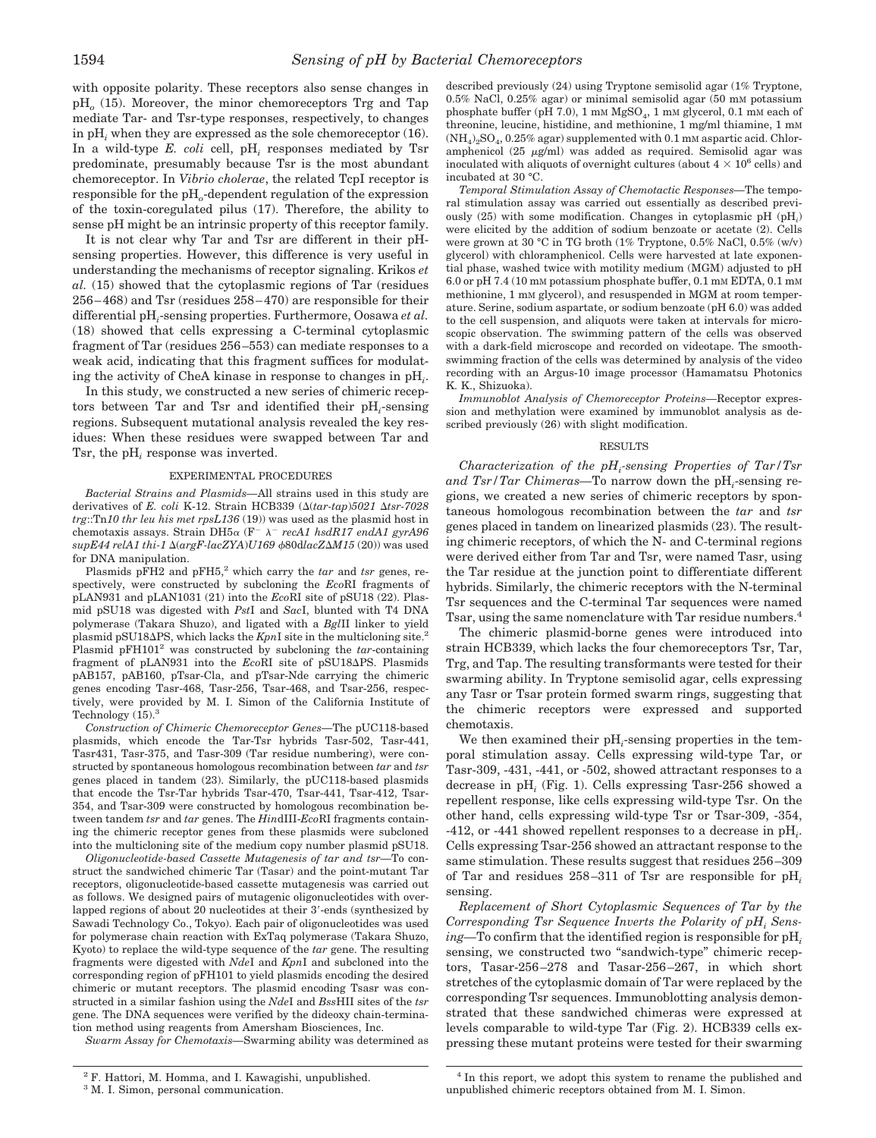with opposite polarity. These receptors also sense changes in pH*<sup>o</sup>* (15). Moreover, the minor chemoreceptors Trg and Tap mediate Tar- and Tsr-type responses, respectively, to changes in pH*<sup>i</sup>* when they are expressed as the sole chemoreceptor (16). In a wild-type *E. coli* cell, pH*<sup>i</sup>* responses mediated by Tsr predominate, presumably because Tsr is the most abundant chemoreceptor. In *Vibrio cholerae*, the related TcpI receptor is responsible for the pH*o*-dependent regulation of the expression of the toxin-coregulated pilus (17). Therefore, the ability to sense pH might be an intrinsic property of this receptor family.

It is not clear why Tar and Tsr are different in their pHsensing properties. However, this difference is very useful in understanding the mechanisms of receptor signaling. Krikos *et al.* (15) showed that the cytoplasmic regions of Tar (residues 256–468) and Tsr (residues 258–470) are responsible for their differential pH*<sup>i</sup>* -sensing properties. Furthermore, Oosawa *et al.* (18) showed that cells expressing a C-terminal cytoplasmic fragment of Tar (residues 256–553) can mediate responses to a weak acid, indicating that this fragment suffices for modulating the activity of CheA kinase in response to changes in pH*<sup>i</sup>* .

In this study, we constructed a new series of chimeric receptors between Tar and Tsr and identified their pH*<sup>i</sup>* -sensing regions. Subsequent mutational analysis revealed the key residues: When these residues were swapped between Tar and Tsr, the pH*<sup>i</sup>* response was inverted.

#### EXPERIMENTAL PROCEDURES

*Bacterial Strains and Plasmids—*All strains used in this study are derivatives of *E. coli* K-12. Strain HCB339 ( $\Delta (tar-tap)5021$   $\Delta tsr-7028$ *trg*::Tn*10 thr leu his met rpsL136* (19)) was used as the plasmid host in chemotaxis assays. Strain DH5 $\alpha$  (F<sup>-</sup>  $\lambda$ <sup>-</sup> recA1 hsdR17 endA1 gyrA96 *supE44 relA1 thi-1* (*argF-lacZYA*)*U169* 80d*lacZM15* (20)) was used for DNA manipulation.

Plasmids pFH2 and pFH5,<sup>2</sup> which carry the *tar* and *tsr* genes, respectively, were constructed by subcloning the *Eco*RI fragments of pLAN931 and pLAN1031 (21) into the *Eco*RI site of pSU18 (22). Plasmid pSU18 was digested with *Pst*I and *Sac*I, blunted with T4 DNA polymerase (Takara Shuzo), and ligated with a *Bgl*II linker to yield plasmid pSU18 $\Delta$ PS, which lacks the *Kpn*I site in the multicloning site.<sup>2</sup> Plasmid pFH1012 was constructed by subcloning the *tar*-containing fragment of pLAN931 into the *Eco*RI site of pSU18APS. Plasmids pAB157, pAB160, pTsar-Cla, and pTsar-Nde carrying the chimeric genes encoding Tasr-468, Tasr-256, Tsar-468, and Tsar-256, respectively, were provided by M. I. Simon of the California Institute of Technology  $(15).<sup>3</sup>$ 

*Construction of Chimeric Chemoreceptor Genes—*The pUC118-based plasmids, which encode the Tar-Tsr hybrids Tasr-502, Tasr-441, Tasr431, Tasr-375, and Tasr-309 (Tar residue numbering), were constructed by spontaneous homologous recombination between *tar* and *tsr* genes placed in tandem (23). Similarly, the pUC118-based plasmids that encode the Tsr-Tar hybrids Tsar-470, Tsar-441, Tsar-412, Tsar-354, and Tsar-309 were constructed by homologous recombination between tandem *tsr* and *tar* genes. The *Hin*dIII-*Eco*RI fragments containing the chimeric receptor genes from these plasmids were subcloned into the multicloning site of the medium copy number plasmid pSU18.

*Oligonucleotide-based Cassette Mutagenesis of tar and tsr—*To construct the sandwiched chimeric Tar (Tasar) and the point-mutant Tar receptors, oligonucleotide-based cassette mutagenesis was carried out as follows. We designed pairs of mutagenic oligonucleotides with overlapped regions of about 20 nucleotides at their 3'-ends (synthesized by Sawadi Technology Co., Tokyo). Each pair of oligonucleotides was used for polymerase chain reaction with ExTaq polymerase (Takara Shuzo, Kyoto) to replace the wild-type sequence of the *tar* gene. The resulting fragments were digested with *Nde*I and *Kpn*I and subcloned into the corresponding region of pFH101 to yield plasmids encoding the desired chimeric or mutant receptors. The plasmid encoding Tsasr was constructed in a similar fashion using the *Nde*I and *Bss*HII sites of the *tsr* gene. The DNA sequences were verified by the dideoxy chain-termination method using reagents from Amersham Biosciences, Inc.

*Swarm Assay for Chemotaxis—*Swarming ability was determined as

<sup>3</sup> M. I. Simon, personal communication.

described previously (24) using Tryptone semisolid agar (1% Tryptone,  $0.5\%$  NaCl,  $0.25\%$  agar) or minimal semisolid agar (50 mm potassium phosphate buffer (pH 7.0), 1 mM  $MgSO<sub>4</sub>$ , 1 mM glycerol, 0.1 mM each of threonine, leucine, histidine, and methionine, 1 mg/ml thiamine, 1 mM  $(NH_4)_2SO_4$ , 0.25% agar) supplemented with 0.1 mM aspartic acid. Chloramphenicol (25  $\mu$ g/ml) was added as required. Semisolid agar was inoculated with aliquots of overnight cultures (about  $4 \times 10^6$  cells) and incubated at 30 °C.

*Temporal Stimulation Assay of Chemotactic Responses—*The temporal stimulation assay was carried out essentially as described previously (25) with some modification. Changes in cytoplasmic pH (pH*<sup>i</sup>* ) were elicited by the addition of sodium benzoate or acetate (2). Cells were grown at 30 °C in TG broth (1% Tryptone, 0.5% NaCl, 0.5% (w/v) glycerol) with chloramphenicol. Cells were harvested at late exponential phase, washed twice with motility medium (MGM) adjusted to pH 6.0 or pH 7.4 (10 mM potassium phosphate buffer, 0.1 mM EDTA, 0.1 mM methionine, 1 mm glycerol), and resuspended in MGM at room temperature. Serine, sodium aspartate, or sodium benzoate (pH 6.0) was added to the cell suspension, and aliquots were taken at intervals for microscopic observation. The swimming pattern of the cells was observed with a dark-field microscope and recorded on videotape. The smoothswimming fraction of the cells was determined by analysis of the video recording with an Argus-10 image processor (Hamamatsu Photonics K. K., Shizuoka).

*Immunoblot Analysis of Chemoreceptor Proteins—*Receptor expression and methylation were examined by immunoblot analysis as described previously (26) with slight modification.

#### RESULTS

*Characterization of the pHi -sensing Properties of Tar/Tsr and Tsr/Tar Chimeras—*To narrow down the pH*<sup>i</sup>* -sensing regions, we created a new series of chimeric receptors by spontaneous homologous recombination between the *tar* and *tsr* genes placed in tandem on linearized plasmids (23). The resulting chimeric receptors, of which the N- and C-terminal regions were derived either from Tar and Tsr, were named Tasr, using the Tar residue at the junction point to differentiate different hybrids. Similarly, the chimeric receptors with the N-terminal Tsr sequences and the C-terminal Tar sequences were named Tsar, using the same nomenclature with Tar residue numbers.<sup>4</sup>

The chimeric plasmid-borne genes were introduced into strain HCB339, which lacks the four chemoreceptors Tsr, Tar, Trg, and Tap. The resulting transformants were tested for their swarming ability. In Tryptone semisolid agar, cells expressing any Tasr or Tsar protein formed swarm rings, suggesting that the chimeric receptors were expressed and supported chemotaxis.

We then examined their  $pH_i$ -sensing properties in the temporal stimulation assay. Cells expressing wild-type Tar, or Tasr-309, -431, -441, or -502, showed attractant responses to a decrease in pH*<sup>i</sup>* (Fig. 1). Cells expressing Tasr-256 showed a repellent response, like cells expressing wild-type Tsr. On the other hand, cells expressing wild-type Tsr or Tsar-309, -354, -412, or -441 showed repellent responses to a decrease in pH*<sup>i</sup>* . Cells expressing Tsar-256 showed an attractant response to the same stimulation. These results suggest that residues 256–309 of Tar and residues 258–311 of Tsr are responsible for pH*<sup>i</sup>* sensing.

*Replacement of Short Cytoplasmic Sequences of Tar by the* Corresponding Tsr Sequence Inverts the Polarity of pH<sub>i</sub> Sens*ing—*To confirm that the identified region is responsible for pH*<sup>i</sup>* sensing, we constructed two "sandwich-type" chimeric receptors, Tasar-256–278 and Tasar-256–267, in which short stretches of the cytoplasmic domain of Tar were replaced by the corresponding Tsr sequences. Immunoblotting analysis demonstrated that these sandwiched chimeras were expressed at levels comparable to wild-type Tar (Fig. 2). HCB339 cells expressing these mutant proteins were tested for their swarming

<sup>2</sup> F. Hattori, M. Homma, and I. Kawagishi, unpublished.

<sup>4</sup> In this report, we adopt this system to rename the published and unpublished chimeric receptors obtained from M. I. Simon.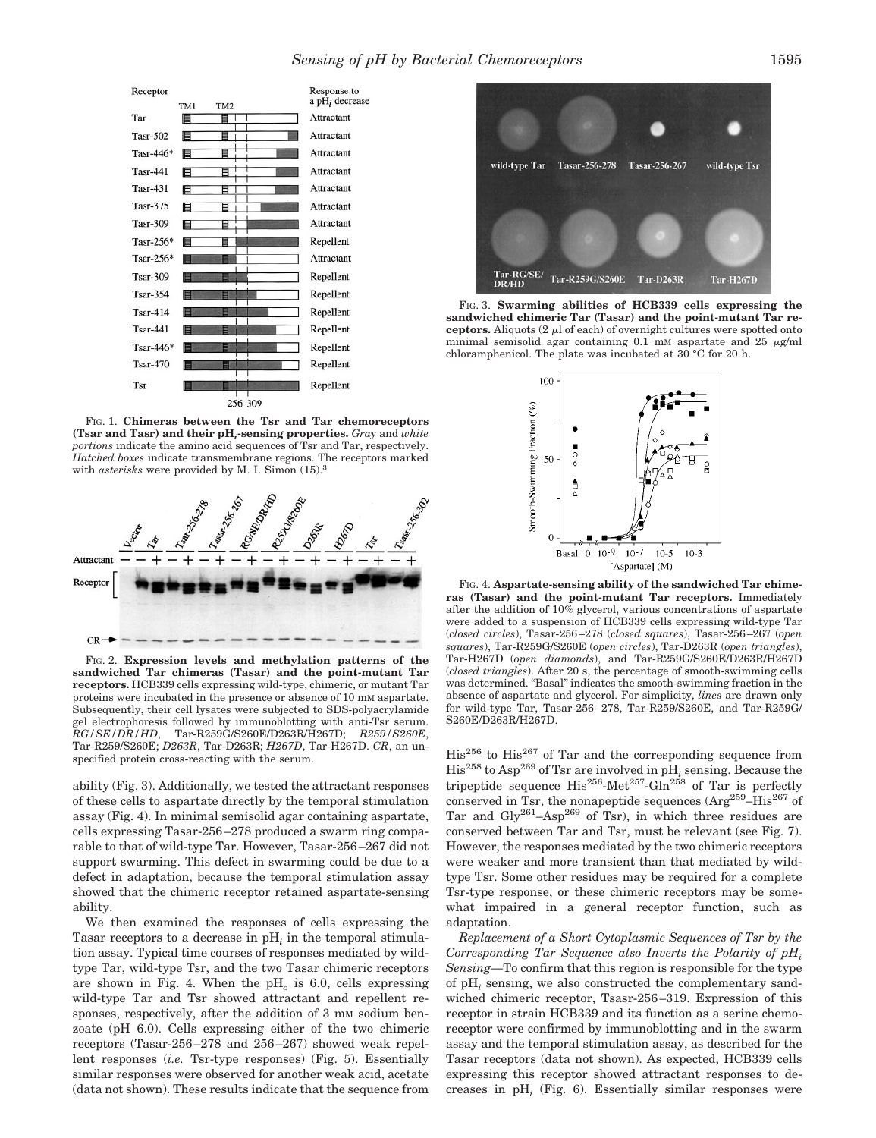

FIG. 1. **Chimeras between the Tsr and Tar chemoreceptors (Tsar and Tasr) and their pH***i***-sensing properties.** *Gray* and *white portions* indicate the amino acid sequences of Tsr and Tar, respectively. *Hatched boxes* indicate transmembrane regions. The receptors marked with *asterisks* were provided by M. I. Simon (15).<sup>3</sup>



FIG. 2. **Expression levels and methylation patterns of the sandwiched Tar chimeras (Tasar) and the point-mutant Tar receptors.** HCB339 cells expressing wild-type, chimeric, or mutant Tar proteins were incubated in the presence or absence of 10 mM aspartate. Subsequently, their cell lysates were subjected to SDS-polyacrylamide gel electrophoresis followed by immunoblotting with anti-Tsr serum. *RG/SE/DR/HD*, Tar-R259G/S260E/D263R/H267D; *R259/S260E*, Tar-R259/S260E; *D263R*, Tar-D263R; *H267D*, Tar-H267D. *CR*, an unspecified protein cross-reacting with the serum.

ability (Fig. 3). Additionally, we tested the attractant responses of these cells to aspartate directly by the temporal stimulation assay (Fig. 4). In minimal semisolid agar containing aspartate, cells expressing Tasar-256–278 produced a swarm ring comparable to that of wild-type Tar. However, Tasar-256–267 did not support swarming. This defect in swarming could be due to a defect in adaptation, because the temporal stimulation assay showed that the chimeric receptor retained aspartate-sensing ability.

We then examined the responses of cells expressing the Tasar receptors to a decrease in pH*<sup>i</sup>* in the temporal stimulation assay. Typical time courses of responses mediated by wildtype Tar, wild-type Tsr, and the two Tasar chimeric receptors are shown in Fig. 4. When the pH*<sup>o</sup>* is 6.0, cells expressing wild-type Tar and Tsr showed attractant and repellent responses, respectively, after the addition of 3 mm sodium benzoate (pH 6.0). Cells expressing either of the two chimeric receptors (Tasar-256–278 and 256–267) showed weak repellent responses (*i.e.* Tsr-type responses) (Fig. 5). Essentially similar responses were observed for another weak acid, acetate (data not shown). These results indicate that the sequence from



FIG. 3. **Swarming abilities of HCB339 cells expressing the sandwiched chimeric Tar (Tasar) and the point-mutant Tar receptors.** Aliquots  $(2 \mu)$  of each) of overnight cultures were spotted onto minimal semisolid agar containing  $0.1$  mM aspartate and  $25 \mu g/ml$ chloramphenicol. The plate was incubated at 30 °C for 20 h.



FIG. 4. **Aspartate-sensing ability of the sandwiched Tar chimeras (Tasar) and the point-mutant Tar receptors.** Immediately after the addition of 10% glycerol, various concentrations of aspartate were added to a suspension of HCB339 cells expressing wild-type Tar (*closed circles*), Tasar-256–278 (*closed squares*), Tasar-256–267 (*open squares*), Tar-R259G/S260E (*open circles*), Tar-D263R (*open triangles*), Tar-H267D (*open diamonds*), and Tar-R259G/S260E/D263R/H267D (*closed triangles*). After 20 s, the percentage of smooth-swimming cells was determined. "Basal" indicates the smooth-swimming fraction in the absence of aspartate and glycerol. For simplicity, *lines* are drawn only for wild-type Tar, Tasar-256–278, Tar-R259/S260E, and Tar-R259G/ S260E/D263R/H267D.

His256 to His267 of Tar and the corresponding sequence from His258 to Asp269 of Tsr are involved in pH*<sup>i</sup>* sensing. Because the tripeptide sequence  $His^{256}$ -Met<sup>257</sup>-Gln<sup>258</sup> of Tar is perfectly conserved in Tsr, the nonapeptide sequences  $\left(\text{Arg}^{259} - \text{His}^{267}\right)$  of Tar and  $\text{Gly}^{261}$ -Asp<sup>269</sup> of Tsr), in which three residues are conserved between Tar and Tsr, must be relevant (see Fig. 7). However, the responses mediated by the two chimeric receptors were weaker and more transient than that mediated by wildtype Tsr. Some other residues may be required for a complete Tsr-type response, or these chimeric receptors may be somewhat impaired in a general receptor function, such as adaptation.

*Replacement of a Short Cytoplasmic Sequences of Tsr by the Corresponding Tar Sequence also Inverts the Polarity of pHi Sensing—*To confirm that this region is responsible for the type of pH*<sup>i</sup>* sensing, we also constructed the complementary sandwiched chimeric receptor, Tsasr-256–319. Expression of this receptor in strain HCB339 and its function as a serine chemoreceptor were confirmed by immunoblotting and in the swarm assay and the temporal stimulation assay, as described for the Tasar receptors (data not shown). As expected, HCB339 cells expressing this receptor showed attractant responses to decreases in pH*<sup>i</sup>* (Fig. 6). Essentially similar responses were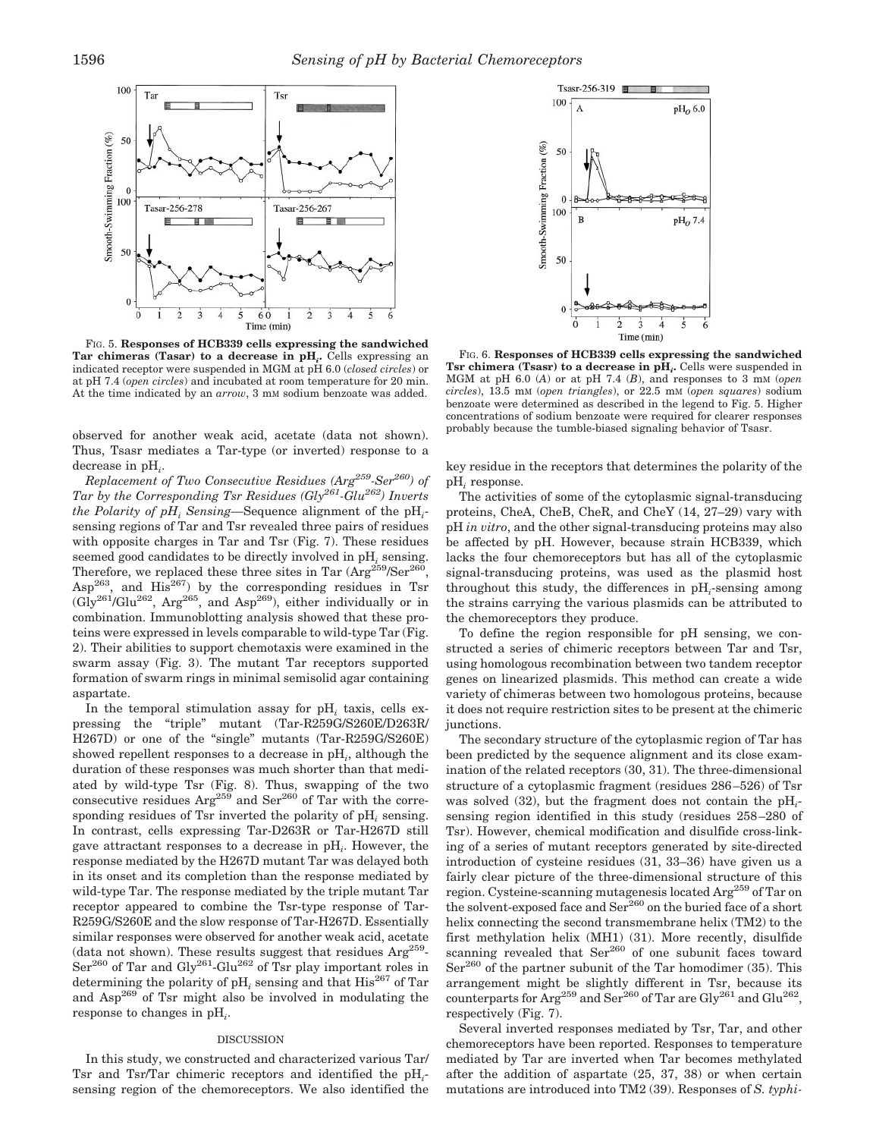

FIG. 5. **Responses of HCB339 cells expressing the sandwiched Tar chimeras (Tasar) to a decrease in pH***i***.** Cells expressing an indicated receptor were suspended in MGM at pH 6.0 (*closed circles*) or at pH 7.4 (*open circles*) and incubated at room temperature for 20 min. At the time indicated by an *arrow*, 3 mM sodium benzoate was added.

observed for another weak acid, acetate (data not shown). Thus, Tsasr mediates a Tar-type (or inverted) response to a decrease in pH*<sup>i</sup>* .

*Replacement of Two Consecutive Residues (Arg259-Ser260) of Tar by the Corresponding Tsr Residues (Gly261-Glu262) Inverts*  $the$  *Polarity of pH<sub>i</sub> Sensing*—Sequence alignment of the pH<sub>i</sub>sensing regions of Tar and Tsr revealed three pairs of residues with opposite charges in Tar and Tsr (Fig. 7). These residues seemed good candidates to be directly involved in pH*<sup>i</sup>* sensing. Therefore, we replaced these three sites in Tar  $(\text{Arg}^{259}/\text{Ser}^{260})$ ,  $Asp^{263}$ , and  $His^{267}$ ) by the corresponding residues in Tsr  $(Gly^{261}/Glu^{262}, Arg^{265}, and Asp^{269}),$  either individually or in combination. Immunoblotting analysis showed that these proteins were expressed in levels comparable to wild-type Tar (Fig. 2). Their abilities to support chemotaxis were examined in the swarm assay (Fig. 3). The mutant Tar receptors supported formation of swarm rings in minimal semisolid agar containing aspartate.

In the temporal stimulation assay for pH*<sup>i</sup>* taxis, cells expressing the "triple" mutant (Tar-R259G/S260E/D263R/ H267D) or one of the "single" mutants (Tar-R259G/S260E) showed repellent responses to a decrease in pH*<sup>i</sup>* , although the duration of these responses was much shorter than that mediated by wild-type Tsr (Fig. 8). Thus, swapping of the two consecutive residues  $Arg^{259}$  and  $Ser^{260}$  of Tar with the corresponding residues of Tsr inverted the polarity of pH*<sup>i</sup>* sensing. In contrast, cells expressing Tar-D263R or Tar-H267D still gave attractant responses to a decrease in pH*<sup>i</sup>* . However, the response mediated by the H267D mutant Tar was delayed both in its onset and its completion than the response mediated by wild-type Tar. The response mediated by the triple mutant Tar receptor appeared to combine the Tsr-type response of Tar-R259G/S260E and the slow response of Tar-H267D. Essentially similar responses were observed for another weak acid, acetate (data not shown). These results suggest that residues  $Arg^{259}$ - $\text{Ser}^{260}$  of Tar and Gly<sup>261</sup>-Glu<sup>262</sup> of Tsr play important roles in determining the polarity of  $\mathrm{pH}_i$  sensing and that  $\mathrm{His}^{267}$  of Tar and Asp269 of Tsr might also be involved in modulating the response to changes in pH*<sup>i</sup>* .

### DISCUSSION

In this study, we constructed and characterized various Tar/ Tsr and Tsr/Tar chimeric receptors and identified the pH*<sup>i</sup>* sensing region of the chemoreceptors. We also identified the



FIG. 6. **Responses of HCB339 cells expressing the sandwiched Tsr chimera (Tsasr) to a decrease in pH***i***.** Cells were suspended in MGM at pH 6.0 (*A*) or at pH 7.4 (*B*), and responses to 3 mM (*open circles*), 13.5 mM (*open triangles*), or 22.5 mM (*open squares*) sodium benzoate were determined as described in the legend to Fig. 5. Higher concentrations of sodium benzoate were required for clearer responses probably because the tumble-biased signaling behavior of Tsasr.

key residue in the receptors that determines the polarity of the pH*<sup>i</sup>* response.

The activities of some of the cytoplasmic signal-transducing proteins, CheA, CheB, CheR, and CheY (14, 27–29) vary with pH *in vitro*, and the other signal-transducing proteins may also be affected by pH. However, because strain HCB339, which lacks the four chemoreceptors but has all of the cytoplasmic signal-transducing proteins, was used as the plasmid host throughout this study, the differences in  $pH_i$ -sensing among the strains carrying the various plasmids can be attributed to the chemoreceptors they produce.

To define the region responsible for pH sensing, we constructed a series of chimeric receptors between Tar and Tsr, using homologous recombination between two tandem receptor genes on linearized plasmids. This method can create a wide variety of chimeras between two homologous proteins, because it does not require restriction sites to be present at the chimeric junctions.

The secondary structure of the cytoplasmic region of Tar has been predicted by the sequence alignment and its close examination of the related receptors (30, 31). The three-dimensional structure of a cytoplasmic fragment (residues 286–526) of Tsr was solved (32), but the fragment does not contain the pH*<sup>i</sup>* sensing region identified in this study (residues 258–280 of Tsr). However, chemical modification and disulfide cross-linking of a series of mutant receptors generated by site-directed introduction of cysteine residues (31, 33–36) have given us a fairly clear picture of the three-dimensional structure of this region. Cysteine-scanning mutagenesis located Arg<sup>259</sup> of Tar on the solvent-exposed face and  $\text{Ser}^{260}$  on the buried face of a short helix connecting the second transmembrane helix (TM2) to the first methylation helix (MH1) (31). More recently, disulfide scanning revealed that  $\text{Ser}^{260}$  of one subunit faces toward  $\text{Ser}^{260}$  of the partner subunit of the Tar homodimer (35). This arrangement might be slightly different in Tsr, because its counterparts for  $\text{Arg}^{259}$  and  $\text{Ser}^{260}$  of Tar are  $\text{Gly}^{261}$  and  $\text{Glu}^{262}$ , respectively (Fig. 7).

Several inverted responses mediated by Tsr, Tar, and other chemoreceptors have been reported. Responses to temperature mediated by Tar are inverted when Tar becomes methylated after the addition of aspartate (25, 37, 38) or when certain mutations are introduced into TM2 (39). Responses of *S. typhi-*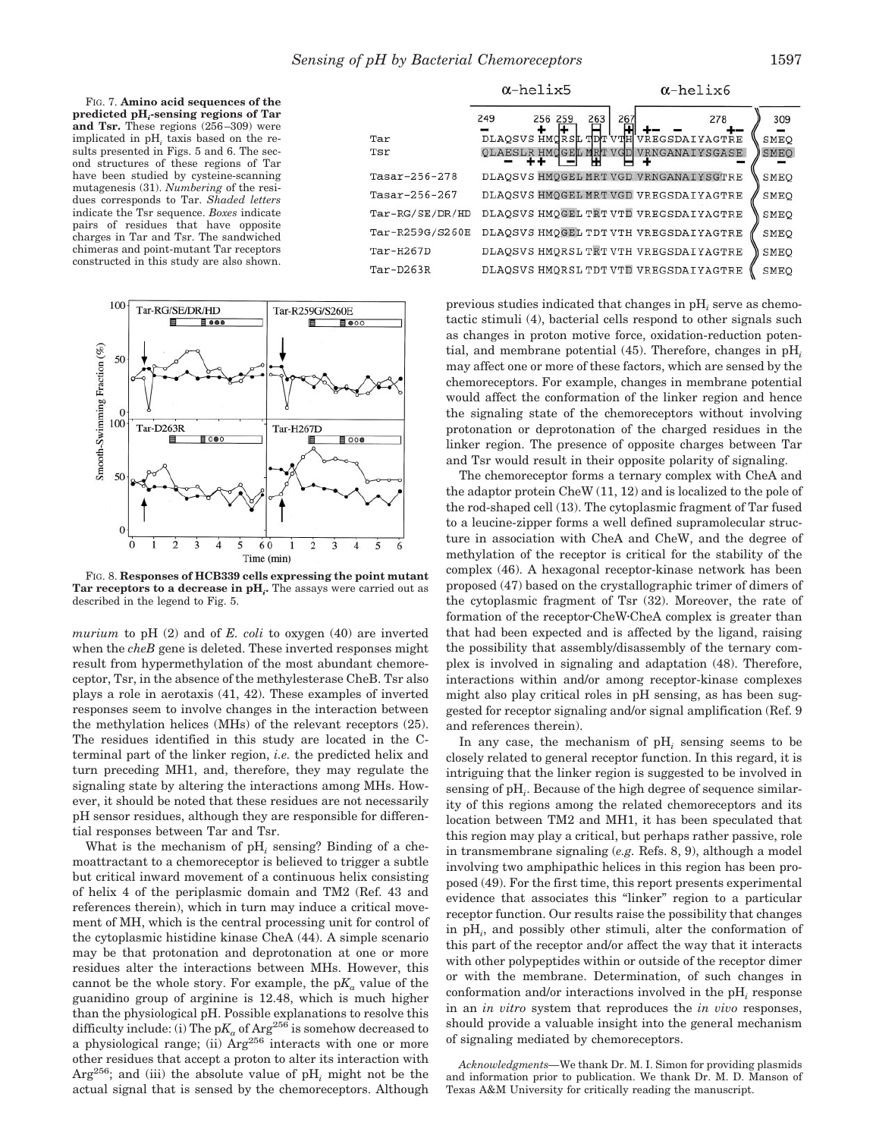FIG. 7. **Amino acid sequences of the predicted pH***i***-sensing regions of Tar and Tsr.** These regions (256–309) were implicated in pH*<sup>i</sup>* taxis based on the results presented in Figs. 5 and 6. The second structures of these regions of Tar have been studied by cysteine-scanning mutagenesis (31). *Numbering* of the residues corresponds to Tar. *Shaded letters* indicate the Tsr sequence. *Boxes* indicate pairs of residues that have opposite charges in Tar and Tsr. The sandwiched chimeras and point-mutant Tar receptors constructed in this study are also shown.





FIG. 8. **Responses of HCB339 cells expressing the point mutant Tar receptors to a decrease in pH***i***.** The assays were carried out as described in the legend to Fig. 5.

*murium* to pH (2) and of *E. coli* to oxygen (40) are inverted when the *cheB* gene is deleted. These inverted responses might result from hypermethylation of the most abundant chemoreceptor, Tsr, in the absence of the methylesterase CheB. Tsr also plays a role in aerotaxis (41, 42). These examples of inverted responses seem to involve changes in the interaction between the methylation helices (MHs) of the relevant receptors (25). The residues identified in this study are located in the Cterminal part of the linker region, *i.e.* the predicted helix and turn preceding MH1, and, therefore, they may regulate the signaling state by altering the interactions among MHs. However, it should be noted that these residues are not necessarily pH sensor residues, although they are responsible for differential responses between Tar and Tsr.

What is the mechanism of pH<sub>i</sub> sensing? Binding of a chemoattractant to a chemoreceptor is believed to trigger a subtle but critical inward movement of a continuous helix consisting of helix 4 of the periplasmic domain and TM2 (Ref. 43 and references therein), which in turn may induce a critical movement of MH, which is the central processing unit for control of the cytoplasmic histidine kinase CheA (44). A simple scenario may be that protonation and deprotonation at one or more residues alter the interactions between MHs. However, this cannot be the whole story. For example, the  $pK_a$  value of the guanidino group of arginine is 12.48, which is much higher than the physiological pH. Possible explanations to resolve this difficulty include: (i) The  $pK_a$  of Arg<sup>256</sup> is somehow decreased to a physiological range; (ii)  $\text{Arg}^{256}$  interacts with one or more other residues that accept a proton to alter its interaction with Arg256; and (iii) the absolute value of pH*<sup>i</sup>* might not be the actual signal that is sensed by the chemoreceptors. Although

previous studies indicated that changes in pH*<sup>i</sup>* serve as chemotactic stimuli (4), bacterial cells respond to other signals such as changes in proton motive force, oxidation-reduction potential, and membrane potential (45). Therefore, changes in pH*<sup>i</sup>* may affect one or more of these factors, which are sensed by the chemoreceptors. For example, changes in membrane potential would affect the conformation of the linker region and hence the signaling state of the chemoreceptors without involving protonation or deprotonation of the charged residues in the linker region. The presence of opposite charges between Tar and Tsr would result in their opposite polarity of signaling.

The chemoreceptor forms a ternary complex with CheA and the adaptor protein CheW (11, 12) and is localized to the pole of the rod-shaped cell (13). The cytoplasmic fragment of Tar fused to a leucine-zipper forms a well defined supramolecular structure in association with CheA and CheW, and the degree of methylation of the receptor is critical for the stability of the complex (46). A hexagonal receptor-kinase network has been proposed (47) based on the crystallographic trimer of dimers of the cytoplasmic fragment of Tsr (32). Moreover, the rate of formation of the receptor CheW CheA complex is greater than that had been expected and is affected by the ligand, raising the possibility that assembly/disassembly of the ternary complex is involved in signaling and adaptation (48). Therefore, interactions within and/or among receptor-kinase complexes might also play critical roles in pH sensing, as has been suggested for receptor signaling and/or signal amplification (Ref. 9 and references therein).

In any case, the mechanism of pH*<sup>i</sup>* sensing seems to be closely related to general receptor function. In this regard, it is intriguing that the linker region is suggested to be involved in sensing of pH*<sup>i</sup>* . Because of the high degree of sequence similarity of this regions among the related chemoreceptors and its location between TM2 and MH1, it has been speculated that this region may play a critical, but perhaps rather passive, role in transmembrane signaling (*e.g.* Refs. 8, 9), although a model involving two amphipathic helices in this region has been proposed (49). For the first time, this report presents experimental evidence that associates this "linker" region to a particular receptor function. Our results raise the possibility that changes in pH*<sup>i</sup>* , and possibly other stimuli, alter the conformation of this part of the receptor and/or affect the way that it interacts with other polypeptides within or outside of the receptor dimer or with the membrane. Determination, of such changes in conformation and/or interactions involved in the pH*<sup>i</sup>* response in an *in vitro* system that reproduces the *in vivo* responses, should provide a valuable insight into the general mechanism of signaling mediated by chemoreceptors.

*Acknowledgments—*We thank Dr. M. I. Simon for providing plasmids and information prior to publication. We thank Dr. M. D. Manson of Texas A&M University for critically reading the manuscript.